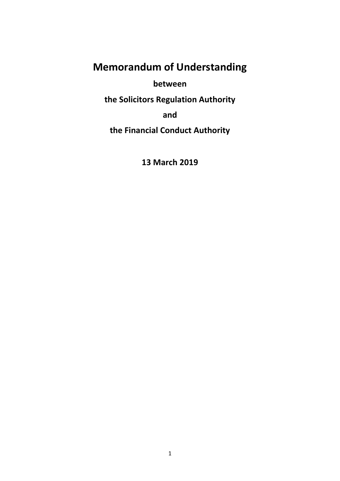# **Memorandum of Understanding**

**between** 

**the Solicitors Regulation Authority** 

**and** 

**the Financial Conduct Authority** 

**13 March 2019**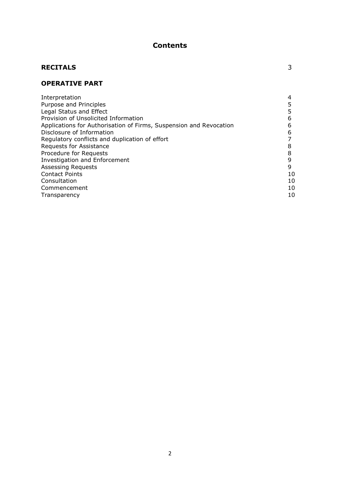## **Contents**

## **RECITALS** 3

## **OPERATIVE PART**

| 6  |
|----|
| 6  |
|    |
| 8  |
| 8  |
| 9  |
| 9  |
| 10 |
| 10 |
| 10 |
| 10 |
|    |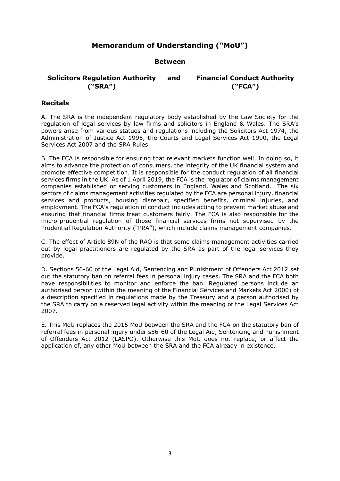## **Memorandum of Understanding ("MoU")**

#### **Between**

#### **Solicitors Regulation Authority ("SRA") and Financial Conduct Authority ("FCA")**

### **Recitals**

A. The SRA is the independent regulatory body established by the Law Society for the regulation of legal services by law firms and solicitors in England & Wales. The SRA's powers arise from various statues and regulations including the Solicitors Act 1974, the Administration of Justice Act 1995, the Courts and Legal Services Act 1990, the Legal Services Act 2007 and the SRA Rules.

B. The FCA is responsible for ensuring that relevant markets function well. In doing so, it aims to advance the protection of consumers, the integrity of the UK financial system and promote effective competition. It is responsible for the conduct regulation of all financial services firms in the UK. As of 1 April 2019, the FCA is the regulator of claims management companies established or serving customers in England, Wales and Scotland. The six sectors of claims management activities regulated by the FCA are personal injury, financial services and products, housing disrepair, specified benefits, criminal injuries, and employment. The FCA's regulation of conduct includes acting to prevent market abuse and ensuring that financial firms treat customers fairly. The FCA is also responsible for the micro-prudential regulation of those financial services firms not supervised by the Prudential Regulation Authority ("PRA"), which include claims management companies.

C. The effect of Article 89N of the RAO is that some claims management activities carried out by legal practitioners are regulated by the SRA as part of the legal services they provide.

D. Sections 56-60 of the Legal Aid, Sentencing and Punishment of Offenders Act 2012 set out the statutory ban on referral fees in personal injury cases. The SRA and the FCA both have responsibilities to monitor and enforce the ban. Regulated persons include an authorised person (within the meaning of the Financial Services and Markets Act 2000) of a description specified in regulations made by the Treasury and a person authorised by the SRA to carry on a reserved legal activity within the meaning of the Legal Services Act 2007.

E. This MoU replaces the 2015 MoU between the SRA and the FCA on the statutory ban of referral fees in personal injury under s56-60 of the Legal Aid, Sentencing and Punishment of Offenders Act 2012 (LASPO). Otherwise this MoU does not replace, or affect the application of, any other MoU between the SRA and the FCA already in existence.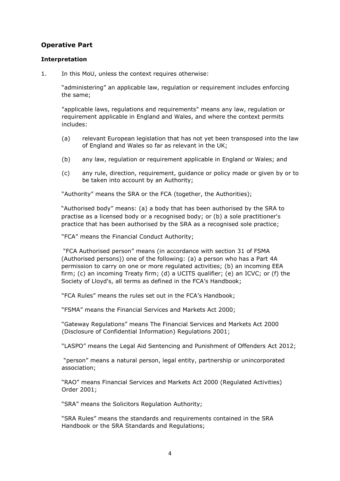## **Operative Part**

#### **Interpretation**

1. In this MoU, unless the context requires otherwise:

"administering" an applicable law, regulation or requirement includes enforcing the same;

"applicable laws, regulations and requirements" means any law, regulation or requirement applicable in England and Wales, and where the context permits includes:

- (a) relevant European legislation that has not yet been transposed into the law of England and Wales so far as relevant in the UK;
- (b) any law, regulation or requirement applicable in England or Wales; and
- (c) any rule, direction, requirement, guidance or policy made or given by or to be taken into account by an Authority;

"Authority" means the SRA or the FCA (together, the Authorities);

"Authorised body" means: (a) a body that has been authorised by the SRA to practise as a licensed body or a recognised body; or (b) a sole practitioner's practice that has been authorised by the SRA as a recognised sole practice;

"FCA" means the Financial Conduct Authority;

"FCA Authorised person" means (in accordance with section 31 of FSMA (Authorised persons)) one of the following: (a) a [person](https://www.handbook.fca.org.uk/handbook/glossary/G869.html) who has a [Part 4A](https://www.handbook.fca.org.uk/handbook/glossary/G2997.html)  [permission](https://www.handbook.fca.org.uk/handbook/glossary/G2997.html) to carry on one or more [regulated activities;](https://www.handbook.fca.org.uk/handbook/glossary/G974.html) (b) an [incoming EEA](https://www.handbook.fca.org.uk/handbook/glossary/G526.html)  [firm;](https://www.handbook.fca.org.uk/handbook/glossary/G526.html) (c) an [incoming Treaty firm;](https://www.handbook.fca.org.uk/handbook/glossary/G530.html) (d) a [UCITS qualifier;](https://www.handbook.fca.org.uk/handbook/glossary/G1203.html) (e) an [ICVC;](https://www.handbook.fca.org.uk/handbook/glossary/G511.html) or (f) the [Society of Lloyd's](https://www.handbook.fca.org.uk/handbook/glossary/G1103.html), all terms as defined in the FCA's Handbook;

"FCA Rules" means the rules set out in the FCA's Handbook;

"FSMA" means the Financial Services and Markets Act 2000;

"Gateway Regulations" means The Financial Services and Markets Act 2000 (Disclosure of Confidential Information) Regulations 2001;

"LASPO" means the Legal Aid Sentencing and Punishment of Offenders Act 2012;

"person" means a natural person, legal entity, partnership or unincorporated association;

"RAO" means Financial Services and Markets Act 2000 (Regulated Activities) Order 2001;

"SRA" means the Solicitors Regulation Authority;

"SRA Rules" means the standards and requirements contained in the SRA Handbook or the SRA Standards and Regulations;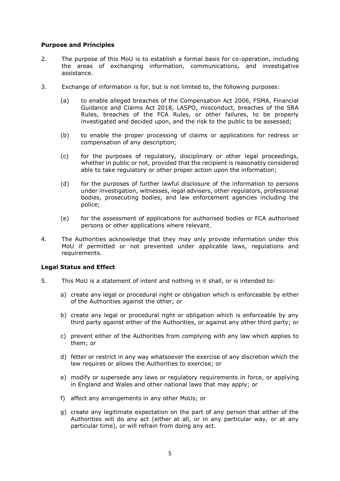#### **Purpose and Principles**

- 2. The purpose of this MoU is to establish a formal basis for co-operation, including the areas of exchanging information, communications, and investigative assistance.
- 3. Exchange of information is for, but is not limited to, the following purposes:
	- (a) to enable alleged breaches of the Compensation Act 2006, FSMA, Financial Guidance and Claims Act 2018, LASPO, misconduct, breaches of the SRA Rules, breaches of the FCA Rules, or other failures, to be properly investigated and decided upon, and the risk to the public to be assessed;
	- (b) to enable the proper processing of claims or applications for redress or compensation of any description;
	- (c) for the purposes of regulatory, disciplinary or other legal proceedings, whether in public or not, provided that the recipient is reasonably considered able to take regulatory or other proper action upon the information;
	- (d) for the purposes of further lawful disclosure of the information to persons under investigation, witnesses, legal advisers, other regulators, professional bodies, prosecuting bodies, and law enforcement agencies including the police;
	- (e) for the assessment of applications for authorised bodies or FCA authorised persons or other applications where relevant.
- 4. The Authorities acknowledge that they may only provide information under this MoU if permitted or not prevented under applicable laws, regulations and requirements.

#### **Legal Status and Effect**

- 5. This MoU is a statement of intent and nothing in it shall, or is intended to:
	- a) create any legal or procedural right or obligation which is enforceable by either of the Authorities against the other; or
	- b) create any legal or procedural right or obligation which is enforceable by any third party against either of the Authorities, or against any other third party; or
	- c) prevent either of the Authorities from complying with any law which applies to them; or
	- d) fetter or restrict in any way whatsoever the exercise of any discretion which the law requires or allows the Authorities to exercise; or
	- e) modify or supersede any laws or regulatory requirements in force, or applying in England and Wales and other national laws that may apply; or
	- f) affect any arrangements in any other MoUs; or
	- g) create any legitimate expectation on the part of any person that either of the Authorities will do any act (either at all, or in any particular way, or at any particular time), or will refrain from doing any act.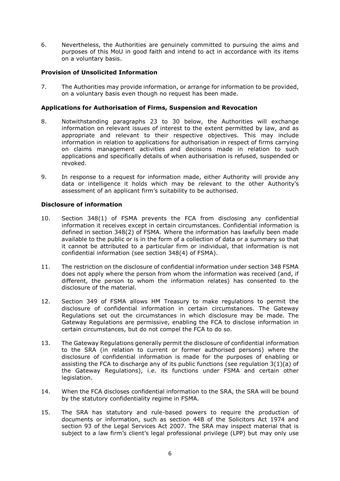6. Nevertheless, the Authorities are genuinely committed to pursuing the aims and purposes of this MoU in good faith and intend to act in accordance with its items on a voluntary basis.

#### **Provision of Unsolicited Information**

7. The Authorities may provide information, or arrange for information to be provided, on a voluntary basis even though no request has been made.

#### **Applications for Authorisation of Firms, Suspension and Revocation**

- 8. Notwithstanding paragraphs 23 to 30 below, the Authorities will exchange information on relevant issues of interest to the extent permitted by law, and as appropriate and relevant to their respective objectives. This may include information in relation to applications for authorisation in respect of firms carrying on claims management activities and decisions made in relation to such applications and specifically details of when authorisation is refused, suspended or revoked.
- 9. In response to a request for information made, either Authority will provide any data or intelligence it holds which may be relevant to the other Authority's assessment of an applicant firm's suitability to be authorised.

#### **Disclosure of information**

- 10. Section 348(1) of FSMA prevents the FCA from disclosing any confidential information it receives except in certain circumstances. Confidential information is defined in section 348(2) of FSMA. Where the information has lawfully been made available to the public or is in the form of a collection of data or a summary so that it cannot be attributed to a particular firm or individual, that information is not confidential information (see section 348(4) of FSMA).
- 11. The restriction on the disclosure of confidential information under section 348 FSMA does not apply where the person from whom the information was received (and, if different, the person to whom the information relates) has consented to the disclosure of the material.
- 12. Section 349 of FSMA allows HM Treasury to make regulations to permit the disclosure of confidential information in certain circumstances. The Gateway Regulations set out the circumstances in which disclosure may be made. The Gateway Regulations are permissive, enabling the FCA to disclose information in certain circumstances, but do not compel the FCA to do so.
- 13. The Gateway Regulations generally permit the disclosure of confidential information to the SRA (in relation to current or former authorised persons) where the disclosure of confidential information is made for the purposes of enabling or assisting the FCA to discharge any of its public functions (see regulation  $3(1)(a)$  of the Gateway Regulations), i.e. its functions under FSMA and certain other legislation.
- 14. When the FCA discloses confidential information to the SRA, the SRA will be bound by the statutory confidentiality regime in FSMA.
- 15. The SRA has statutory and rule-based powers to require the production of documents or information, such as section 44B of the Solicitors Act 1974 and section 93 of the Legal Services Act 2007. The SRA may inspect material that is subject to a law firm's client's legal professional privilege (LPP) but may only use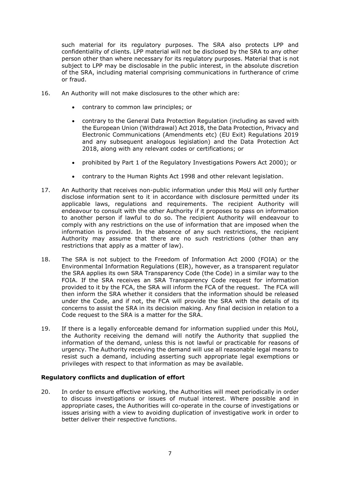such material for its regulatory purposes. The SRA also protects LPP and confidentiality of clients. LPP material will not be disclosed by the SRA to any other person other than where necessary for its regulatory purposes. Material that is not subject to LPP may be disclosable in the public interest, in the absolute discretion of the SRA, including material comprising communications in furtherance of crime or fraud.

- 16. An Authority will not make disclosures to the other which are:
	- contrary to common law principles; or
	- contrary to the General Data Protection Regulation (including as saved with the European Union (Withdrawal) Act 2018, the Data Protection, Privacy and Electronic Communications (Amendments etc) (EU Exit) Regulations 2019 and any subsequent analogous legislation) and the Data Protection Act 2018, along with any relevant codes or certifications; or
	- prohibited by Part 1 of the Regulatory Investigations Powers Act 2000); or
	- contrary to the Human Rights Act 1998 and other relevant legislation.
- 17. An Authority that receives non-public information under this MoU will only further disclose information sent to it in accordance with disclosure permitted under its applicable laws, regulations and requirements. The recipient Authority will endeavour to consult with the other Authority if it proposes to pass on information to another person if lawful to do so. The recipient Authority will endeavour to comply with any restrictions on the use of information that are imposed when the information is provided. In the absence of any such restrictions, the recipient Authority may assume that there are no such restrictions (other than any restrictions that apply as a matter of law).
- 18. The SRA is not subject to the Freedom of Information Act 2000 (FOIA) or the Environmental Information Regulations (EIR), however, as a transparent regulator the SRA applies its own SRA Transparency Code (the Code) in a similar way to the FOIA. If the SRA receives an SRA Transparency Code request for information provided to it by the FCA, the SRA will inform the FCA of the request. The FCA will then inform the SRA whether it considers that the information should be released under the Code, and if not, the FCA will provide the SRA with the details of its concerns to assist the SRA in its decision making. Any final decision in relation to a Code request to the SRA is a matter for the SRA.
- 19. If there is a legally enforceable demand for information supplied under this MoU, the Authority receiving the demand will notify the Authority that supplied the information of the demand, unless this is not lawful or practicable for reasons of urgency. The Authority receiving the demand will use all reasonable legal means to resist such a demand, including asserting such appropriate legal exemptions or privileges with respect to that information as may be available.

#### **Regulatory conflicts and duplication of effort**

20. In order to ensure effective working, the Authorities will meet periodically in order to discuss investigations or issues of mutual interest. Where possible and in appropriate cases, the Authorities will co-operate in the course of investigations or issues arising with a view to avoiding duplication of investigative work in order to better deliver their respective functions.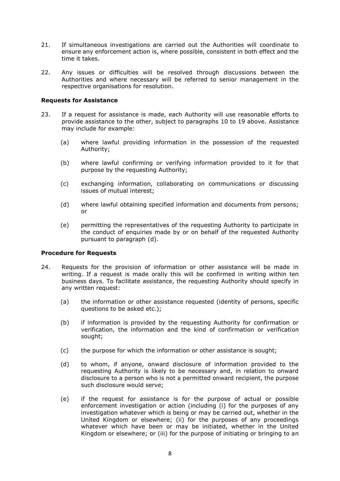- 21. If simultaneous investigations are carried out the Authorities will coordinate to ensure any enforcement action is, where possible, consistent in both effect and the time it takes.
- 22. Any issues or difficulties will be resolved through discussions between the Authorities and where necessary will be referred to senior management in the respective organisations for resolution.

#### **Requests for Assistance**

- 23. If a request for assistance is made, each Authority will use reasonable efforts to provide assistance to the other, subject to paragraphs 10 to 19 above. Assistance may include for example:
	- (a) where lawful providing information in the possession of the requested Authority;
	- (b) where lawful confirming or verifying information provided to it for that purpose by the requesting Authority;
	- (c) exchanging information, collaborating on communications or discussing issues of mutual interest;
	- (d) where lawful obtaining specified information and documents from persons; or
	- (e) permitting the representatives of the requesting Authority to participate in the conduct of enquiries made by or on behalf of the requested Authority pursuant to paragraph (d).

#### **Procedure for Requests**

- 24. Requests for the provision of information or other assistance will be made in writing. If a request is made orally this will be confirmed in writing within ten business days. To facilitate assistance, the requesting Authority should specify in any written request:
	- (a) the information or other assistance requested (identity of persons, specific questions to be asked etc.);
	- (b) if information is provided by the requesting Authority for confirmation or verification, the information and the kind of confirmation or verification sought;
	- (c) the purpose for which the information or other assistance is sought;
	- (d) to whom, if anyone, onward disclosure of information provided to the requesting Authority is likely to be necessary and, in relation to onward disclosure to a person who is not a permitted onward recipient, the purpose such disclosure would serve;
	- (e) if the request for assistance is for the purpose of actual or possible enforcement investigation or action (including (i) for the purposes of any investigation whatever which is being or may be carried out, whether in the United Kingdom or elsewhere; (ii) for the purposes of any proceedings whatever which have been or may be initiated, whether in the United Kingdom or elsewhere; or (iii) for the purpose of initiating or bringing to an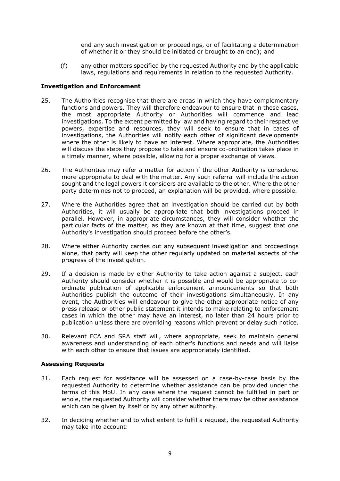end any such investigation or proceedings, or of facilitating a determination of whether it or they should be initiated or brought to an end); and

(f) any other matters specified by the requested Authority and by the applicable laws, regulations and requirements in relation to the requested Authority.

#### **Investigation and Enforcement**

- 25. The Authorities recognise that there are areas in which they have complementary functions and powers. They will therefore endeavour to ensure that in these cases, the most appropriate Authority or Authorities will commence and lead investigations. To the extent permitted by law and having regard to their respective powers, expertise and resources, they will seek to ensure that in cases of investigations, the Authorities will notify each other of significant developments where the other is likely to have an interest. Where appropriate, the Authorities will discuss the steps they propose to take and ensure co-ordination takes place in a timely manner, where possible, allowing for a proper exchange of views.
- 26. The Authorities may refer a matter for action if the other Authority is considered more appropriate to deal with the matter. Any such referral will include the action sought and the legal powers it considers are available to the other. Where the other party determines not to proceed, an explanation will be provided, where possible.
- 27. Where the Authorities agree that an investigation should be carried out by both Authorities, it will usually be appropriate that both investigations proceed in parallel. However, in appropriate circumstances, they will consider whether the particular facts of the matter, as they are known at that time, suggest that one Authority's investigation should proceed before the other's.
- 28. Where either Authority carries out any subsequent investigation and proceedings alone, that party will keep the other regularly updated on material aspects of the progress of the investigation.
- 29. If a decision is made by either Authority to take action against a subject, each Authority should consider whether it is possible and would be appropriate to coordinate publication of applicable enforcement announcements so that both Authorities publish the outcome of their investigations simultaneously. In any event, the Authorities will endeavour to give the other appropriate notice of any press release or other public statement it intends to make relating to enforcement cases in which the other may have an interest, no later than 24 hours prior to publication unless there are overriding reasons which prevent or delay such notice.
- 30. Relevant FCA and SRA staff will, where appropriate, seek to maintain general awareness and understanding of each other's functions and needs and will liaise with each other to ensure that issues are appropriately identified.

#### **Assessing Requests**

- 31. Each request for assistance will be assessed on a case-by-case basis by the requested Authority to determine whether assistance can be provided under the terms of this MoU. In any case where the request cannot be fulfilled in part or whole, the requested Authority will consider whether there may be other assistance which can be given by itself or by any other authority.
- 32. In deciding whether and to what extent to fulfil a request, the requested Authority may take into account: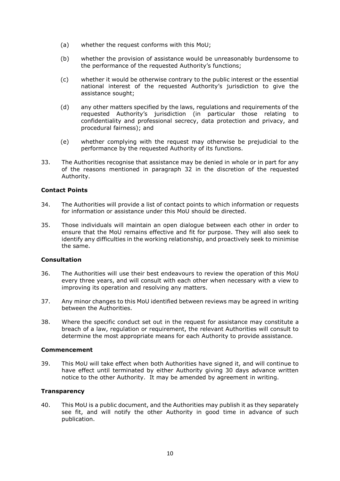- (a) whether the request conforms with this MoU;
- (b) whether the provision of assistance would be unreasonably burdensome to the performance of the requested Authority's functions;
- (c) whether it would be otherwise contrary to the public interest or the essential national interest of the requested Authority's jurisdiction to give the assistance sought;
- (d) any other matters specified by the laws, regulations and requirements of the requested Authority's jurisdiction (in particular those relating to confidentiality and professional secrecy, data protection and privacy, and procedural fairness); and
- (e) whether complying with the request may otherwise be prejudicial to the performance by the requested Authority of its functions.
- 33. The Authorities recognise that assistance may be denied in whole or in part for any of the reasons mentioned in paragraph 32 in the discretion of the requested Authority.

#### **Contact Points**

- 34. The Authorities will provide a list of contact points to which information or requests for information or assistance under this MoU should be directed.
- 35. Those individuals will maintain an open dialogue between each other in order to ensure that the MoU remains effective and fit for purpose. They will also seek to identify any difficulties in the working relationship, and proactively seek to minimise the same.

#### **Consultation**

- 36. The Authorities will use their best endeavours to review the operation of this MoU every three years, and will consult with each other when necessary with a view to improving its operation and resolving any matters.
- 37. Any minor changes to this MoU identified between reviews may be agreed in writing between the Authorities.
- 38. Where the specific conduct set out in the request for assistance may constitute a breach of a law, regulation or requirement, the relevant Authorities will consult to determine the most appropriate means for each Authority to provide assistance.

#### **Commencement**

39. This MoU will take effect when both Authorities have signed it, and will continue to have effect until terminated by either Authority giving 30 days advance written notice to the other Authority. It may be amended by agreement in writing.

#### **Transparency**

40. This MoU is a public document, and the Authorities may publish it as they separately see fit, and will notify the other Authority in good time in advance of such publication.